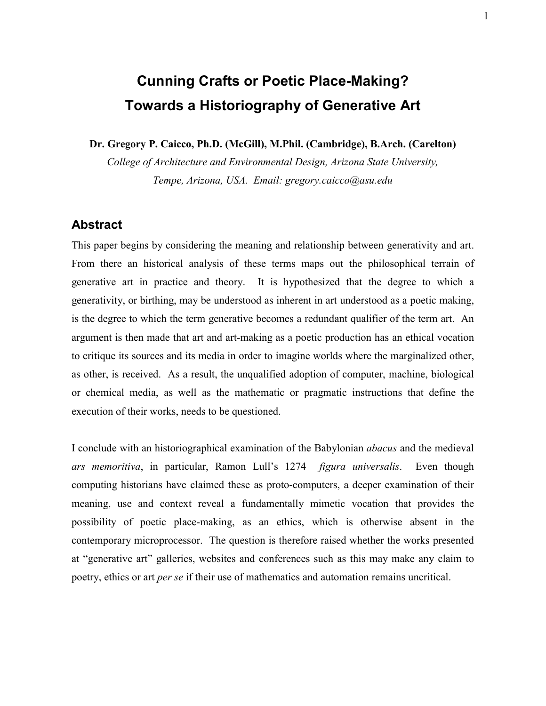# **Cunning Crafts or Poetic Place-Making? Towards a Historiography of Generative Art**

**Dr. Gregory P. Caicco, Ph.D. (McGill), M.Phil. (Cambridge), B.Arch. (Carelton)**

*College of Architecture and Environmental Design, Arizona State University, Tempe, Arizona, USA. Email: gregory.caicco@asu.edu*

### **Abstract**

This paper begins by considering the meaning and relationship between generativity and art. From there an historical analysis of these terms maps out the philosophical terrain of generative art in practice and theory. It is hypothesized that the degree to which a generativity, or birthing, may be understood as inherent in art understood as a poetic making, is the degree to which the term generative becomes a redundant qualifier of the term art. An argument is then made that art and art-making as a poetic production has an ethical vocation to critique its sources and its media in order to imagine worlds where the marginalized other, as other, is received. As a result, the unqualified adoption of computer, machine, biological or chemical media, as well as the mathematic or pragmatic instructions that define the execution of their works, needs to be questioned.

I conclude with an historiographical examination of the Babylonian *abacus* and the medieval *ars memoritiva*, in particular, Ramon Lull's 1274 *figura universalis*. Even though computing historians have claimed these as proto-computers, a deeper examination of their meaning, use and context reveal a fundamentally mimetic vocation that provides the possibility of poetic place-making, as an ethics, which is otherwise absent in the contemporary microprocessor. The question is therefore raised whether the works presented at "generative art" galleries, websites and conferences such as this may make any claim to poetry, ethics or art *per se* if their use of mathematics and automation remains uncritical.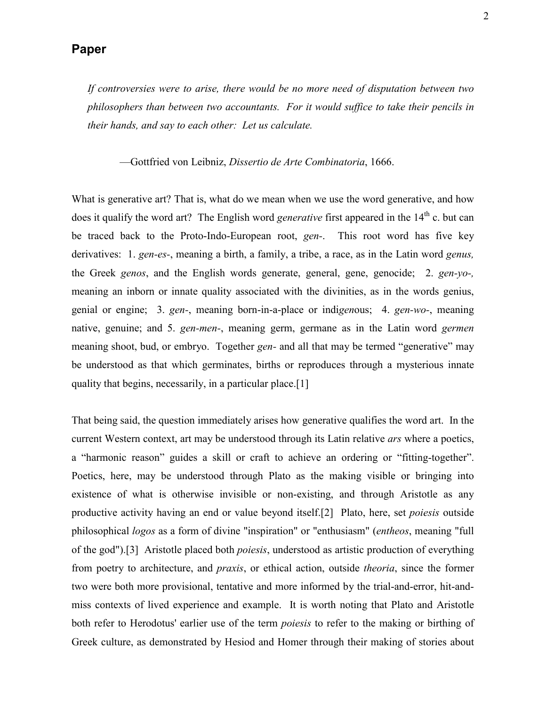#### **Paper**

*If controversies were to arise, there would be no more need of disputation between two philosophers than between two accountants. For it would suffice to take their pencils in their hands, and say to each other: Let us calculate.*

—Gottfried von Leibniz, *Dissertio de Arte Combinatoria*, 1666.

What is generative art? That is, what do we mean when we use the word generative, and how does it qualify the word art? The English word *generative* first appeared in the 14<sup>th</sup> c. but can be traced back to the Proto-Indo-European root, *gen-*. This root word has five key derivatives: 1. *gen-es-*, meaning a birth, a family, a tribe, a race, as in the Latin word *genus,* the Greek *genos*, and the English words generate, general, gene, genocide; 2. *gen-yo-,* meaning an inborn or innate quality associated with the divinities, as in the words genius, genial or engine; 3. *gen-*, meaning born-in-a-place or indi*gen*ous; 4. *gen-wo-*, meaning native, genuine; and 5. *gen-men-*, meaning germ, germane as in the Latin word *germen* meaning shoot, bud, or embryo. Together *gen-* and all that may be termed "generative" may be understood as that which germinates, births or reproduces through a mysterious innate quality that begins, necessarily, in a particular place.[1]

That being said, the question immediately arises how generative qualifies the word art. In the current Western context, art may be understood through its Latin relative *ars* where a poetics, a "harmonic reason" guides a skill or craft to achieve an ordering or "fitting-together". Poetics, here, may be understood through Plato as the making visible or bringing into existence of what is otherwise invisible or non-existing, and through Aristotle as any productive activity having an end or value beyond itself.[2] Plato, here, set *poiesis* outside philosophical *logos* as a form of divine "inspiration" or "enthusiasm" (*entheos*, meaning "full of the god").[3] Aristotle placed both *poiesis*, understood as artistic production of everything from poetry to architecture, and *praxis*, or ethical action, outside *theoria*, since the former two were both more provisional, tentative and more informed by the trial-and-error, hit-andmiss contexts of lived experience and example. It is worth noting that Plato and Aristotle both refer to Herodotus' earlier use of the term *poiesis* to refer to the making or birthing of Greek culture, as demonstrated by Hesiod and Homer through their making of stories about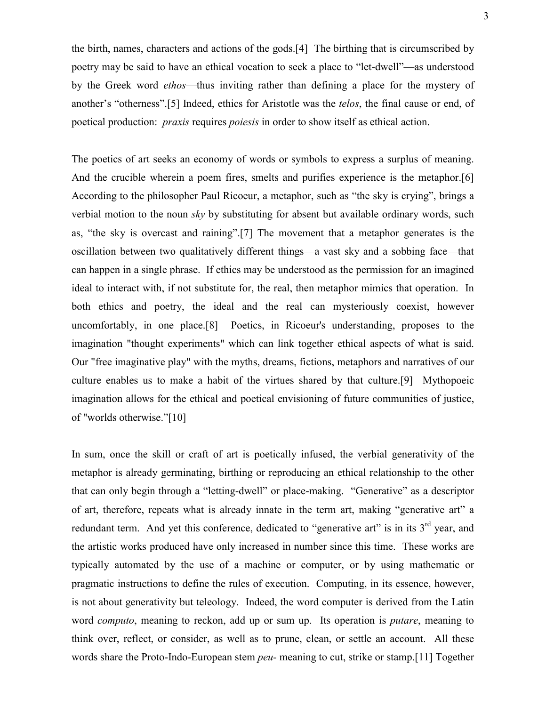the birth, names, characters and actions of the gods.[4] The birthing that is circumscribed by poetry may be said to have an ethical vocation to seek a place to "let-dwell"—as understood by the Greek word *ethos*—thus inviting rather than defining a place for the mystery of another's "otherness".[5] Indeed, ethics for Aristotle was the *telos*, the final cause or end, of poetical production: *praxis* requires *poiesis* in order to show itself as ethical action.

The poetics of art seeks an economy of words or symbols to express a surplus of meaning. And the crucible wherein a poem fires, smelts and purifies experience is the metaphor.[6] According to the philosopher Paul Ricoeur, a metaphor, such as "the sky is crying", brings a verbial motion to the noun *sky* by substituting for absent but available ordinary words, such as, "the sky is overcast and raining".[7] The movement that a metaphor generates is the oscillation between two qualitatively different things—a vast sky and a sobbing face—that can happen in a single phrase. If ethics may be understood as the permission for an imagined ideal to interact with, if not substitute for, the real, then metaphor mimics that operation. In both ethics and poetry, the ideal and the real can mysteriously coexist, however uncomfortably, in one place.[8] Poetics, in Ricoeur's understanding, proposes to the imagination "thought experiments" which can link together ethical aspects of what is said. Our "free imaginative play" with the myths, dreams, fictions, metaphors and narratives of our culture enables us to make a habit of the virtues shared by that culture.[9] Mythopoeic imagination allows for the ethical and poetical envisioning of future communities of justice, of "worlds otherwise."[10]

In sum, once the skill or craft of art is poetically infused, the verbial generativity of the metaphor is already germinating, birthing or reproducing an ethical relationship to the other that can only begin through a "letting-dwell" or place-making. "Generative" as a descriptor of art, therefore, repeats what is already innate in the term art, making "generative art" a redundant term. And yet this conference, dedicated to "generative art" is in its  $3<sup>rd</sup>$  year, and the artistic works produced have only increased in number since this time. These works are typically automated by the use of a machine or computer, or by using mathematic or pragmatic instructions to define the rules of execution. Computing, in its essence, however, is not about generativity but teleology. Indeed, the word computer is derived from the Latin word *computo*, meaning to reckon, add up or sum up. Its operation is *putare*, meaning to think over, reflect, or consider, as well as to prune, clean, or settle an account. All these words share the Proto-Indo-European stem *peu-* meaning to cut, strike or stamp.[11] Together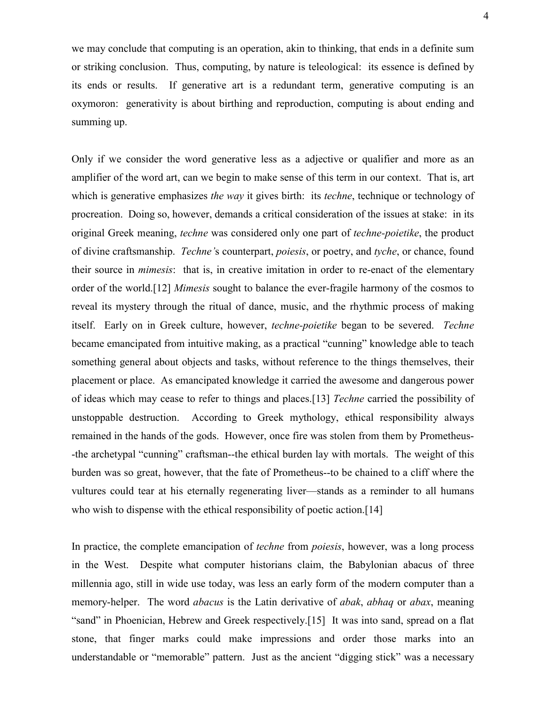we may conclude that computing is an operation, akin to thinking, that ends in a definite sum or striking conclusion. Thus, computing, by nature is teleological: its essence is defined by its ends or results. If generative art is a redundant term, generative computing is an oxymoron: generativity is about birthing and reproduction, computing is about ending and summing up.

Only if we consider the word generative less as a adjective or qualifier and more as an amplifier of the word art, can we begin to make sense of this term in our context. That is, art which is generative emphasizes *the way* it gives birth: its *techne*, technique or technology of procreation. Doing so, however, demands a critical consideration of the issues at stake: in its original Greek meaning, *techne* was considered only one part of *techne-poietike*, the product of divine craftsmanship. *Techne'*s counterpart, *poiesis*, or poetry, and *tyche*, or chance, found their source in *mimesis*: that is, in creative imitation in order to re-enact of the elementary order of the world.[12] *Mimesis* sought to balance the ever-fragile harmony of the cosmos to reveal its mystery through the ritual of dance, music, and the rhythmic process of making itself. Early on in Greek culture, however, *techne-poietike* began to be severed. *Techne* became emancipated from intuitive making, as a practical "cunning" knowledge able to teach something general about objects and tasks, without reference to the things themselves, their placement or place. As emancipated knowledge it carried the awesome and dangerous power of ideas which may cease to refer to things and places.[13] *Techne* carried the possibility of unstoppable destruction. According to Greek mythology, ethical responsibility always remained in the hands of the gods. However, once fire was stolen from them by Prometheus- -the archetypal "cunning" craftsman--the ethical burden lay with mortals. The weight of this burden was so great, however, that the fate of Prometheus--to be chained to a cliff where the vultures could tear at his eternally regenerating liver—stands as a reminder to all humans who wish to dispense with the ethical responsibility of poetic action.<sup>[14]</sup>

In practice, the complete emancipation of *techne* from *poiesis*, however, was a long process in the West. Despite what computer historians claim, the Babylonian abacus of three millennia ago, still in wide use today, was less an early form of the modern computer than a memory-helper. The word *abacus* is the Latin derivative of *abak*, *abhaq* or *abax*, meaning "sand" in Phoenician, Hebrew and Greek respectively.[15] It was into sand, spread on a flat stone, that finger marks could make impressions and order those marks into an understandable or "memorable" pattern. Just as the ancient "digging stick" was a necessary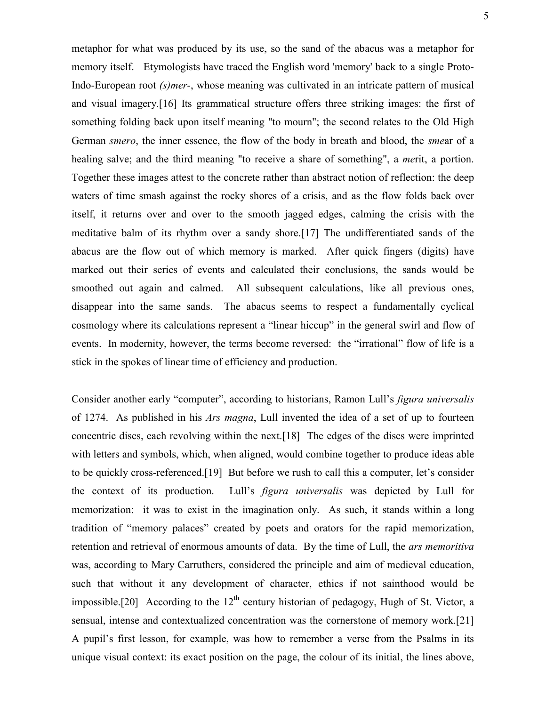metaphor for what was produced by its use, so the sand of the abacus was a metaphor for memory itself. Etymologists have traced the English word 'memory' back to a single Proto-Indo-European root *(s)mer-*, whose meaning was cultivated in an intricate pattern of musical and visual imagery.[16] Its grammatical structure offers three striking images: the first of something folding back upon itself meaning "to mourn"; the second relates to the Old High German *smero*, the inner essence, the flow of the body in breath and blood, the *sme*ar of a healing salve; and the third meaning "to receive a share of something", a *me*rit, a portion. Together these images attest to the concrete rather than abstract notion of reflection: the deep waters of time smash against the rocky shores of a crisis, and as the flow folds back over itself, it returns over and over to the smooth jagged edges, calming the crisis with the meditative balm of its rhythm over a sandy shore.[17] The undifferentiated sands of the abacus are the flow out of which memory is marked. After quick fingers (digits) have marked out their series of events and calculated their conclusions, the sands would be smoothed out again and calmed. All subsequent calculations, like all previous ones, disappear into the same sands. The abacus seems to respect a fundamentally cyclical cosmology where its calculations represent a "linear hiccup" in the general swirl and flow of events. In modernity, however, the terms become reversed: the "irrational" flow of life is a stick in the spokes of linear time of efficiency and production.

Consider another early "computer", according to historians, Ramon Lull's *figura universalis* of 1274. As published in his *Ars magna*, Lull invented the idea of a set of up to fourteen concentric discs, each revolving within the next.[18] The edges of the discs were imprinted with letters and symbols, which, when aligned, would combine together to produce ideas able to be quickly cross-referenced.[19] But before we rush to call this a computer, let's consider the context of its production. Lull's *figura universalis* was depicted by Lull for memorization: it was to exist in the imagination only. As such, it stands within a long tradition of "memory palaces" created by poets and orators for the rapid memorization, retention and retrieval of enormous amounts of data. By the time of Lull, the *ars memoritiva* was, according to Mary Carruthers, considered the principle and aim of medieval education, such that without it any development of character, ethics if not sainthood would be impossible.[20] According to the  $12<sup>th</sup>$  century historian of pedagogy, Hugh of St. Victor, a sensual, intense and contextualized concentration was the cornerstone of memory work.[21] A pupil's first lesson, for example, was how to remember a verse from the Psalms in its unique visual context: its exact position on the page, the colour of its initial, the lines above,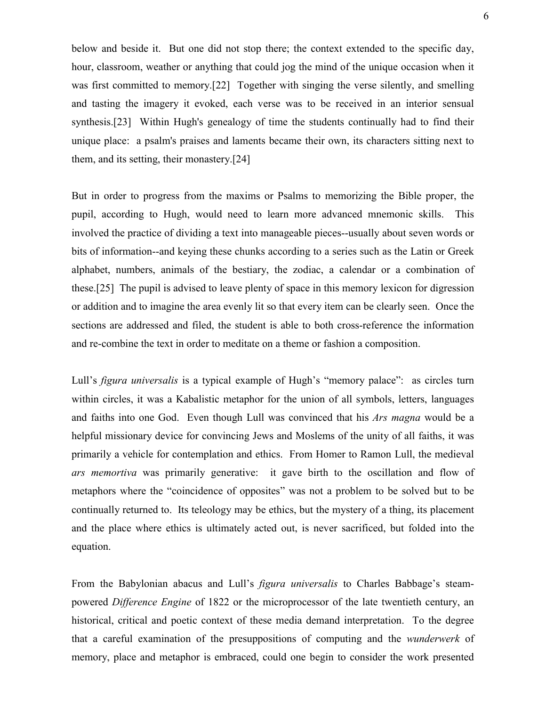below and beside it. But one did not stop there; the context extended to the specific day, hour, classroom, weather or anything that could jog the mind of the unique occasion when it was first committed to memory.[22] Together with singing the verse silently, and smelling and tasting the imagery it evoked, each verse was to be received in an interior sensual synthesis.[23] Within Hugh's genealogy of time the students continually had to find their unique place: a psalm's praises and laments became their own, its characters sitting next to them, and its setting, their monastery.[24]

But in order to progress from the maxims or Psalms to memorizing the Bible proper, the pupil, according to Hugh, would need to learn more advanced mnemonic skills. This involved the practice of dividing a text into manageable pieces--usually about seven words or bits of information--and keying these chunks according to a series such as the Latin or Greek alphabet, numbers, animals of the bestiary, the zodiac, a calendar or a combination of these.[25] The pupil is advised to leave plenty of space in this memory lexicon for digression or addition and to imagine the area evenly lit so that every item can be clearly seen. Once the sections are addressed and filed, the student is able to both cross-reference the information and re-combine the text in order to meditate on a theme or fashion a composition.

Lull's *figura universalis* is a typical example of Hugh's "memory palace": as circles turn within circles, it was a Kabalistic metaphor for the union of all symbols, letters, languages and faiths into one God. Even though Lull was convinced that his *Ars magna* would be a helpful missionary device for convincing Jews and Moslems of the unity of all faiths, it was primarily a vehicle for contemplation and ethics. From Homer to Ramon Lull, the medieval *ars memortiva* was primarily generative: it gave birth to the oscillation and flow of metaphors where the "coincidence of opposites" was not a problem to be solved but to be continually returned to. Its teleology may be ethics, but the mystery of a thing, its placement and the place where ethics is ultimately acted out, is never sacrificed, but folded into the equation.

From the Babylonian abacus and Lull's *figura universalis* to Charles Babbage's steampowered *Difference Engine* of 1822 or the microprocessor of the late twentieth century, an historical, critical and poetic context of these media demand interpretation. To the degree that a careful examination of the presuppositions of computing and the *wunderwerk* of memory, place and metaphor is embraced, could one begin to consider the work presented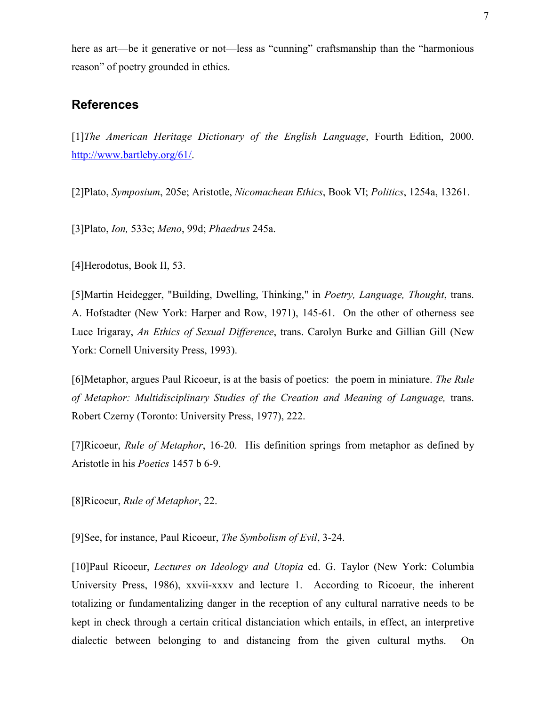here as art—be it generative or not—less as "cunning" craftsmanship than the "harmonious reason" of poetry grounded in ethics.

## **References**

[1]*The American Heritage Dictionary of the English Language*, Fourth Edition, 2000. http://www.bartleby.org/61/.

[2]Plato, *Symposium*, 205e; Aristotle, *Nicomachean Ethics*, Book VI; *Politics*, 1254a, 13261.

[3]Plato, *Ion,* 533e; *Meno*, 99d; *Phaedrus* 245a.

[4]Herodotus, Book II, 53.

[5]Martin Heidegger, "Building, Dwelling, Thinking," in *Poetry, Language, Thought*, trans. A. Hofstadter (New York: Harper and Row, 1971), 145-61. On the other of otherness see Luce Irigaray, *An Ethics of Sexual Difference*, trans. Carolyn Burke and Gillian Gill (New York: Cornell University Press, 1993).

[6]Metaphor, argues Paul Ricoeur, is at the basis of poetics: the poem in miniature. *The Rule of Metaphor: Multidisciplinary Studies of the Creation and Meaning of Language,* trans. Robert Czerny (Toronto: University Press, 1977), 222.

[7]Ricoeur, *Rule of Metaphor*, 16-20. His definition springs from metaphor as defined by Aristotle in his *Poetics* 1457 b 6-9.

[8]Ricoeur, *Rule of Metaphor*, 22.

[9]See, for instance, Paul Ricoeur, *The Symbolism of Evil*, 3-24.

[10]Paul Ricoeur, *Lectures on Ideology and Utopia* ed. G. Taylor (New York: Columbia University Press, 1986), xxvii-xxxv and lecture 1. According to Ricoeur, the inherent totalizing or fundamentalizing danger in the reception of any cultural narrative needs to be kept in check through a certain critical distanciation which entails, in effect, an interpretive dialectic between belonging to and distancing from the given cultural myths. On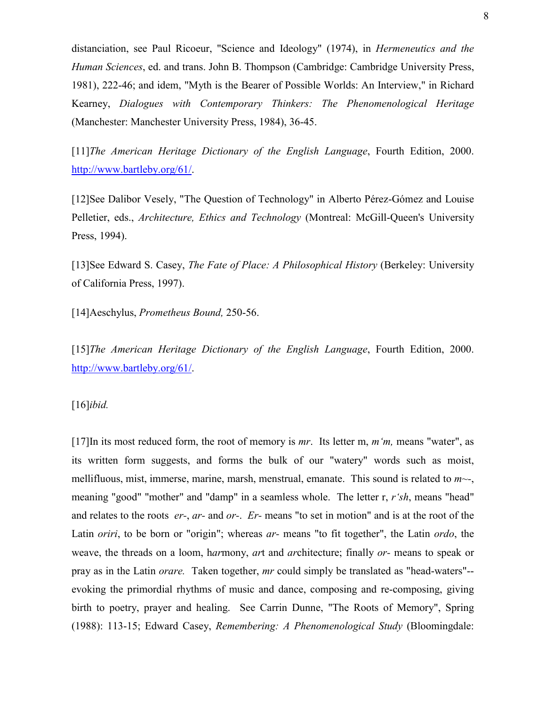distanciation, see Paul Ricoeur, "Science and Ideology" (1974), in *Hermeneutics and the Human Sciences*, ed. and trans. John B. Thompson (Cambridge: Cambridge University Press, 1981), 222-46; and idem, "Myth is the Bearer of Possible Worlds: An Interview," in Richard Kearney, *Dialogues with Contemporary Thinkers: The Phenomenological Heritage* (Manchester: Manchester University Press, 1984), 36-45.

[11]*The American Heritage Dictionary of the English Language*, Fourth Edition, 2000. http://www.bartleby.org/61/.

[12]See Dalibor Vesely, "The Question of Technology" in Alberto Pérez-Gómez and Louise Pelletier, eds., *Architecture, Ethics and Technology* (Montreal: McGill-Queen's University Press, 1994).

[13]See Edward S. Casey, *The Fate of Place: A Philosophical History* (Berkeley: University of California Press, 1997).

[14]Aeschylus, *Prometheus Bound,* 250-56.

[15]*The American Heritage Dictionary of the English Language*, Fourth Edition, 2000. http://www.bartleby.org/61/.

[16]*ibid.*

[17]In its most reduced form, the root of memory is *mr*. Its letter m, *m'm,* means "water", as its written form suggests, and forms the bulk of our "watery" words such as moist, mellifluous, mist, immerse, marine, marsh, menstrual, emanate. This sound is related to *m~-*, meaning "good" "mother" and "damp" in a seamless whole. The letter r, *r'sh*, means "head" and relates to the roots *er-*, *ar-* and *or-*. *Er-* means "to set in motion" and is at the root of the Latin *oriri*, to be born or "origin"; whereas *ar-* means "to fit together", the Latin *ordo*, the weave, the threads on a loom, h*ar*mony, *ar*t and *ar*chitecture; finally *or-* means to speak or pray as in the Latin *orare.* Taken together, *mr* could simply be translated as "head-waters"- evoking the primordial rhythms of music and dance, composing and re-composing, giving birth to poetry, prayer and healing. See Carrin Dunne, "The Roots of Memory", Spring (1988): 113-15; Edward Casey, *Remembering: A Phenomenological Study* (Bloomingdale: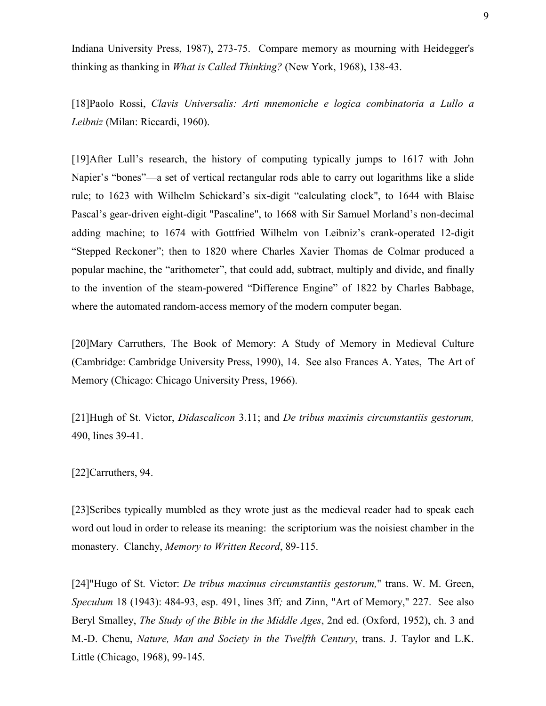Indiana University Press, 1987), 273-75. Compare memory as mourning with Heidegger's thinking as thanking in *What is Called Thinking?* (New York, 1968), 138-43.

[18]Paolo Rossi, *Clavis Universalis: Arti mnemoniche e logica combinatoria a Lullo a Leibniz* (Milan: Riccardi, 1960).

[19]After Lull's research, the history of computing typically jumps to 1617 with John Napier's "bones"—a set of vertical rectangular rods able to carry out logarithms like a slide rule; to 1623 with Wilhelm Schickard's six-digit "calculating clock", to 1644 with Blaise Pascal's gear-driven eight-digit "Pascaline", to 1668 with Sir Samuel Morland's non-decimal adding machine; to 1674 with Gottfried Wilhelm von Leibniz's crank-operated 12-digit "Stepped Reckoner"; then to 1820 where Charles Xavier Thomas de Colmar produced a popular machine, the "arithometer", that could add, subtract, multiply and divide, and finally to the invention of the steam-powered "Difference Engine" of 1822 by Charles Babbage, where the automated random-access memory of the modern computer began.

[20]Mary Carruthers, The Book of Memory: A Study of Memory in Medieval Culture (Cambridge: Cambridge University Press, 1990), 14. See also Frances A. Yates, The Art of Memory (Chicago: Chicago University Press, 1966).

[21]Hugh of St. Victor, *Didascalicon* 3.11; and *De tribus maximis circumstantiis gestorum,* 490, lines 39-41.

#### [22]Carruthers, 94.

[23]Scribes typically mumbled as they wrote just as the medieval reader had to speak each word out loud in order to release its meaning: the scriptorium was the noisiest chamber in the monastery. Clanchy, *Memory to Written Record*, 89-115.

[24]"Hugo of St. Victor: *De tribus maximus circumstantiis gestorum,*" trans. W. M. Green, *Speculum* 18 (1943): 484-93, esp. 491, lines 3ff*;* and Zinn, "Art of Memory," 227. See also Beryl Smalley, *The Study of the Bible in the Middle Ages*, 2nd ed. (Oxford, 1952), ch. 3 and M.-D. Chenu, *Nature, Man and Society in the Twelfth Century*, trans. J. Taylor and L.K. Little (Chicago, 1968), 99-145.